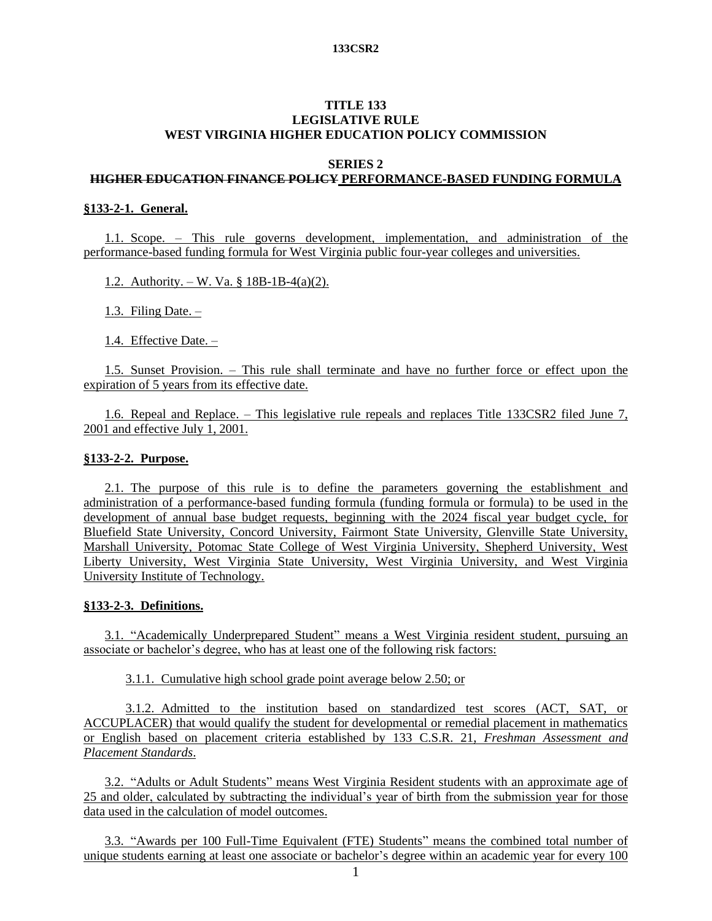## **TITLE 133 LEGISLATIVE RULE WEST VIRGINIA HIGHER EDUCATION POLICY COMMISSION**

#### **SERIES 2**

# **HIGHER EDUCATION FINANCE POLICY PERFORMANCE-BASED FUNDING FORMULA**

## **§133-2-1. General.**

1.1. Scope. – This rule governs development, implementation, and administration of the performance-based funding formula for West Virginia public four-year colleges and universities.

1.2. Authority. – W. Va. § 18B-1B-4(a)(2).

1.3. Filing Date. –

1.4. Effective Date. –

1.5. Sunset Provision. – This rule shall terminate and have no further force or effect upon the expiration of 5 years from its effective date.

1.6. Repeal and Replace. – This legislative rule repeals and replaces Title 133CSR2 filed June 7, 2001 and effective July 1, 2001.

#### **§133-2-2. Purpose.**

2.1. The purpose of this rule is to define the parameters governing the establishment and administration of a performance-based funding formula (funding formula or formula) to be used in the development of annual base budget requests, beginning with the 2024 fiscal year budget cycle, for Bluefield State University, Concord University, Fairmont State University, Glenville State University, Marshall University, Potomac State College of West Virginia University, Shepherd University, West Liberty University, West Virginia State University, West Virginia University, and West Virginia University Institute of Technology.

## **§133-2-3. Definitions.**

3.1. "Academically Underprepared Student" means a West Virginia resident student, pursuing an associate or bachelor's degree, who has at least one of the following risk factors:

3.1.1. Cumulative high school grade point average below 2.50; or

3.1.2. Admitted to the institution based on standardized test scores (ACT, SAT, or ACCUPLACER) that would qualify the student for developmental or remedial placement in mathematics or English based on placement criteria established by 133 C.S.R. 21, *Freshman Assessment and Placement Standards*.

3.2. "Adults or Adult Students" means West Virginia Resident students with an approximate age of 25 and older, calculated by subtracting the individual's year of birth from the submission year for those data used in the calculation of model outcomes.

3.3. "Awards per 100 Full-Time Equivalent (FTE) Students" means the combined total number of unique students earning at least one associate or bachelor's degree within an academic year for every 100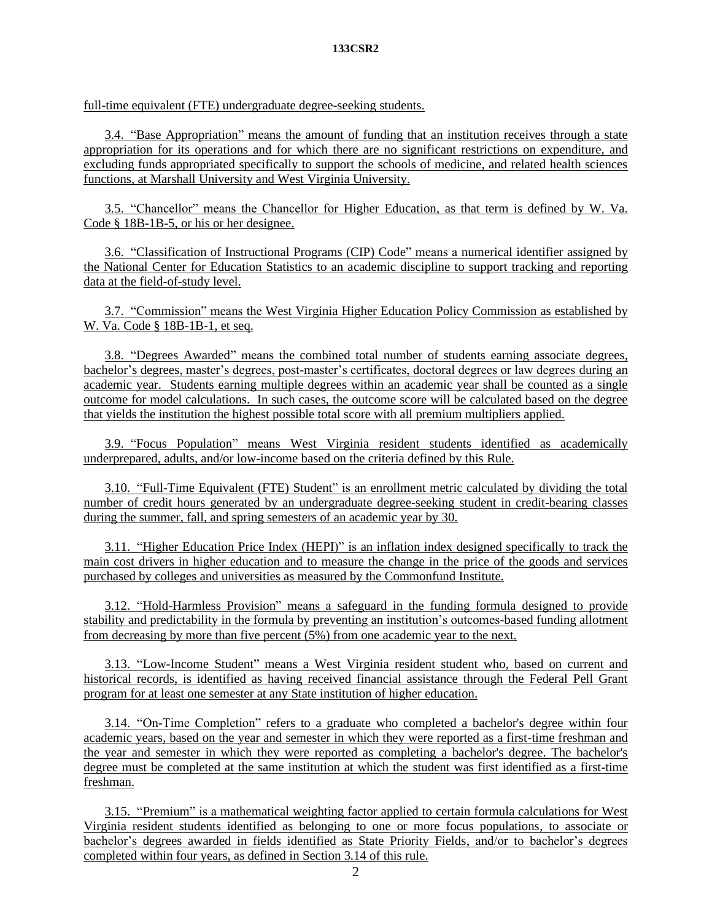full-time equivalent (FTE) undergraduate degree-seeking students.

3.4. "Base Appropriation" means the amount of funding that an institution receives through a state appropriation for its operations and for which there are no significant restrictions on expenditure, and excluding funds appropriated specifically to support the schools of medicine, and related health sciences functions, at Marshall University and West Virginia University.

3.5. "Chancellor" means the Chancellor for Higher Education, as that term is defined by W. Va. Code § 18B-1B-5, or his or her designee.

3.6. "Classification of Instructional Programs (CIP) Code" means a numerical identifier assigned by the National Center for Education Statistics to an academic discipline to support tracking and reporting data at the field-of-study level.

3.7. "Commission" means the West Virginia Higher Education Policy Commission as established by W. Va. Code § 18B-1B-1, et seq.

3.8. "Degrees Awarded" means the combined total number of students earning associate degrees, bachelor's degrees, master's degrees, post-master's certificates, doctoral degrees or law degrees during an academic year. Students earning multiple degrees within an academic year shall be counted as a single outcome for model calculations. In such cases, the outcome score will be calculated based on the degree that yields the institution the highest possible total score with all premium multipliers applied.

3.9. "Focus Population" means West Virginia resident students identified as academically underprepared, adults, and/or low-income based on the criteria defined by this Rule.

3.10. "Full-Time Equivalent (FTE) Student" is an enrollment metric calculated by dividing the total number of credit hours generated by an undergraduate degree-seeking student in credit-bearing classes during the summer, fall, and spring semesters of an academic year by 30.

3.11. "Higher Education Price Index (HEPI)" is an inflation index designed specifically to track the main cost drivers in higher education and to measure the change in the price of the goods and services purchased by colleges and universities as measured by the Commonfund Institute.

3.12. "Hold-Harmless Provision" means a safeguard in the funding formula designed to provide stability and predictability in the formula by preventing an institution's outcomes-based funding allotment from decreasing by more than five percent (5%) from one academic year to the next.

3.13. "Low-Income Student" means a West Virginia resident student who, based on current and historical records, is identified as having received financial assistance through the Federal Pell Grant program for at least one semester at any State institution of higher education.

3.14. "On-Time Completion" refers to a graduate who completed a bachelor's degree within four academic years, based on the year and semester in which they were reported as a first-time freshman and the year and semester in which they were reported as completing a bachelor's degree. The bachelor's degree must be completed at the same institution at which the student was first identified as a first-time freshman.

3.15. "Premium" is a mathematical weighting factor applied to certain formula calculations for West Virginia resident students identified as belonging to one or more focus populations, to associate or bachelor's degrees awarded in fields identified as State Priority Fields, and/or to bachelor's degrees completed within four years, as defined in Section 3.14 of this rule.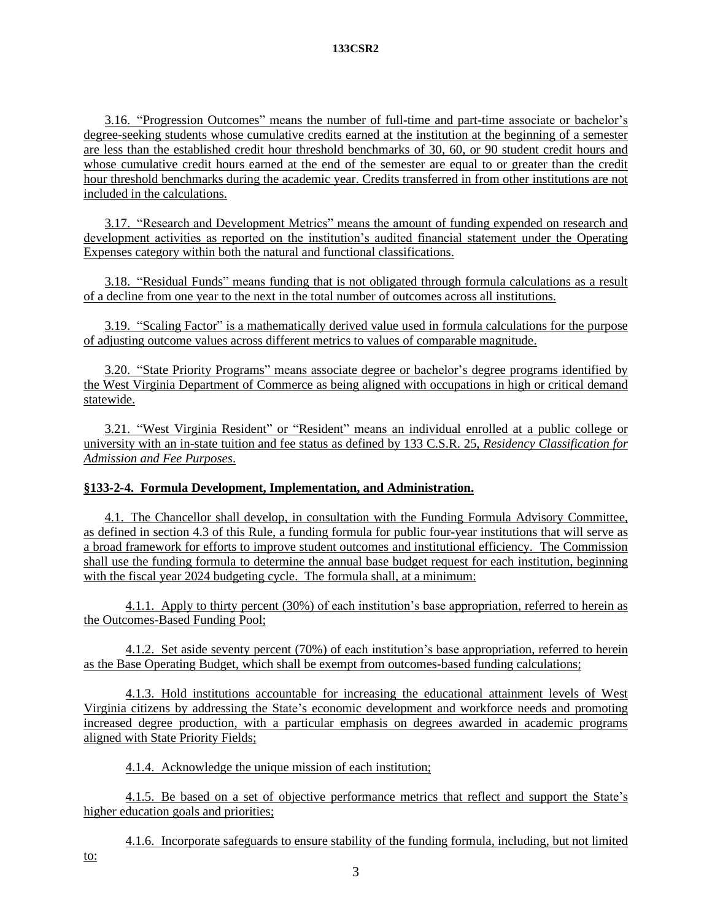3.16. "Progression Outcomes" means the number of full-time and part-time associate or bachelor's degree-seeking students whose cumulative credits earned at the institution at the beginning of a semester are less than the established credit hour threshold benchmarks of 30, 60, or 90 student credit hours and whose cumulative credit hours earned at the end of the semester are equal to or greater than the credit hour threshold benchmarks during the academic year. Credits transferred in from other institutions are not included in the calculations.

3.17. "Research and Development Metrics" means the amount of funding expended on research and development activities as reported on the institution's audited financial statement under the Operating Expenses category within both the natural and functional classifications.

3.18. "Residual Funds" means funding that is not obligated through formula calculations as a result of a decline from one year to the next in the total number of outcomes across all institutions.

3.19. "Scaling Factor" is a mathematically derived value used in formula calculations for the purpose of adjusting outcome values across different metrics to values of comparable magnitude.

3.20. "State Priority Programs" means associate degree or bachelor's degree programs identified by the West Virginia Department of Commerce as being aligned with occupations in high or critical demand statewide.

3.21. "West Virginia Resident" or "Resident" means an individual enrolled at a public college or university with an in-state tuition and fee status as defined by 133 C.S.R. 25, *Residency Classification for Admission and Fee Purposes*.

# **§133-2-4. Formula Development, Implementation, and Administration.**

4.1. The Chancellor shall develop, in consultation with the Funding Formula Advisory Committee, as defined in section 4.3 of this Rule, a funding formula for public four-year institutions that will serve as a broad framework for efforts to improve student outcomes and institutional efficiency. The Commission shall use the funding formula to determine the annual base budget request for each institution, beginning with the fiscal year 2024 budgeting cycle. The formula shall, at a minimum:

4.1.1. Apply to thirty percent (30%) of each institution's base appropriation, referred to herein as the Outcomes-Based Funding Pool;

4.1.2. Set aside seventy percent (70%) of each institution's base appropriation, referred to herein as the Base Operating Budget, which shall be exempt from outcomes-based funding calculations;

4.1.3. Hold institutions accountable for increasing the educational attainment levels of West Virginia citizens by addressing the State's economic development and workforce needs and promoting increased degree production, with a particular emphasis on degrees awarded in academic programs aligned with State Priority Fields;

4.1.4. Acknowledge the unique mission of each institution;

4.1.5. Be based on a set of objective performance metrics that reflect and support the State's higher education goals and priorities;

4.1.6. Incorporate safeguards to ensure stability of the funding formula, including, but not limited to: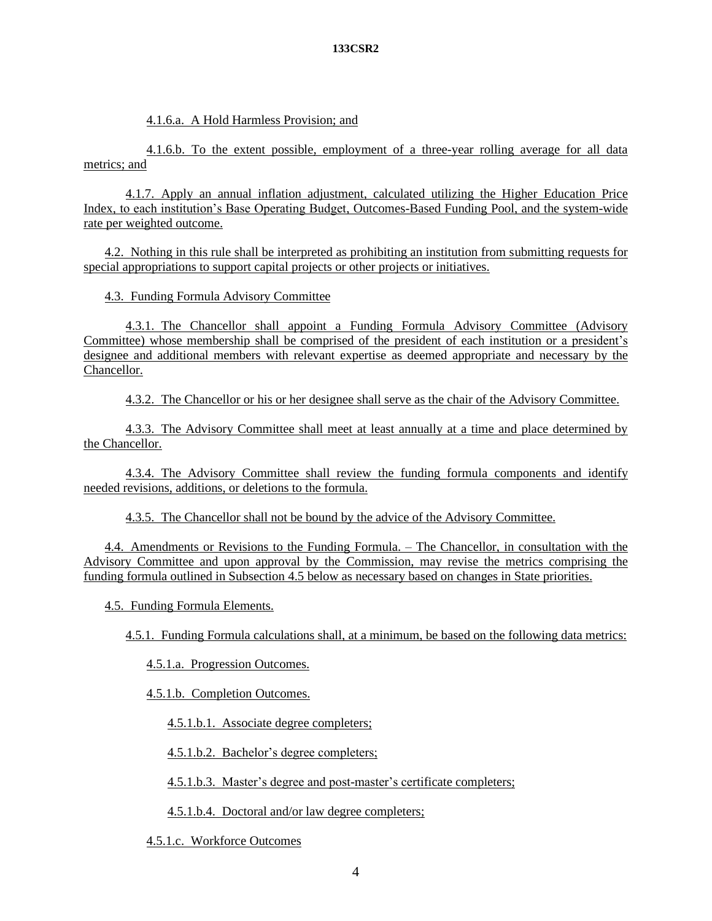4.1.6.a. A Hold Harmless Provision; and

4.1.6.b. To the extent possible, employment of a three-year rolling average for all data metrics; and

4.1.7. Apply an annual inflation adjustment, calculated utilizing the Higher Education Price Index, to each institution's Base Operating Budget, Outcomes-Based Funding Pool, and the system-wide rate per weighted outcome.

4.2. Nothing in this rule shall be interpreted as prohibiting an institution from submitting requests for special appropriations to support capital projects or other projects or initiatives.

4.3. Funding Formula Advisory Committee

4.3.1. The Chancellor shall appoint a Funding Formula Advisory Committee (Advisory Committee) whose membership shall be comprised of the president of each institution or a president's designee and additional members with relevant expertise as deemed appropriate and necessary by the Chancellor.

4.3.2. The Chancellor or his or her designee shall serve as the chair of the Advisory Committee.

4.3.3. The Advisory Committee shall meet at least annually at a time and place determined by the Chancellor.

4.3.4. The Advisory Committee shall review the funding formula components and identify needed revisions, additions, or deletions to the formula.

4.3.5. The Chancellor shall not be bound by the advice of the Advisory Committee.

4.4. Amendments or Revisions to the Funding Formula. – The Chancellor, in consultation with the Advisory Committee and upon approval by the Commission, may revise the metrics comprising the funding formula outlined in Subsection 4.5 below as necessary based on changes in State priorities.

4.5. Funding Formula Elements.

4.5.1. Funding Formula calculations shall, at a minimum, be based on the following data metrics:

4.5.1.a. Progression Outcomes.

4.5.1.b. Completion Outcomes.

4.5.1.b.1. Associate degree completers;

4.5.1.b.2. Bachelor's degree completers;

4.5.1.b.3. Master's degree and post-master's certificate completers;

4.5.1.b.4. Doctoral and/or law degree completers;

4.5.1.c. Workforce Outcomes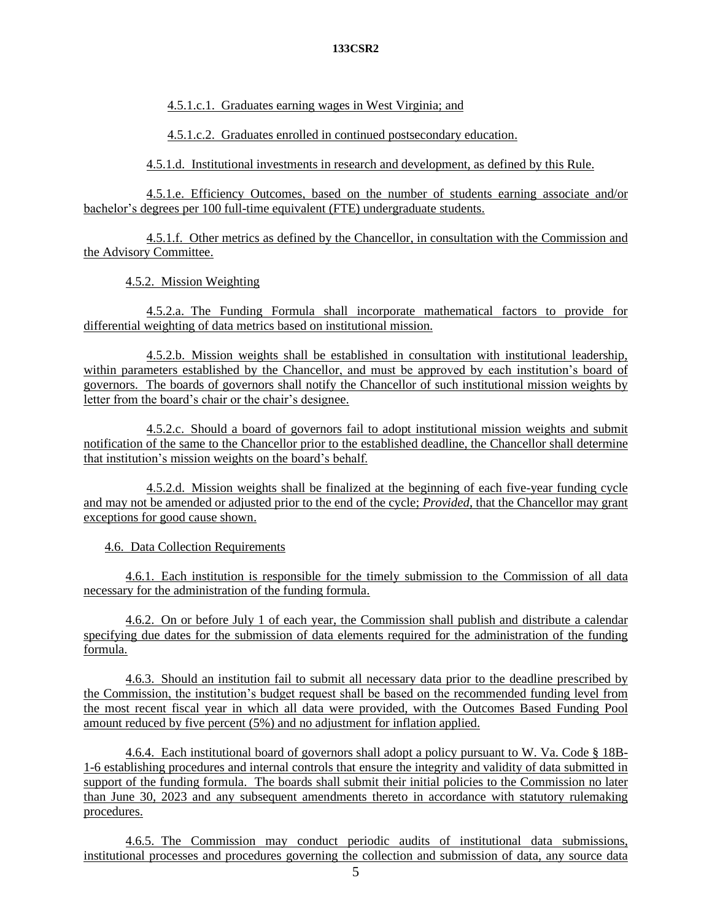4.5.1.c.1. Graduates earning wages in West Virginia; and

4.5.1.c.2. Graduates enrolled in continued postsecondary education.

4.5.1.d. Institutional investments in research and development, as defined by this Rule.

4.5.1.e. Efficiency Outcomes, based on the number of students earning associate and/or bachelor's degrees per 100 full-time equivalent (FTE) undergraduate students.

4.5.1.f. Other metrics as defined by the Chancellor, in consultation with the Commission and the Advisory Committee.

4.5.2. Mission Weighting

4.5.2.a. The Funding Formula shall incorporate mathematical factors to provide for differential weighting of data metrics based on institutional mission.

4.5.2.b. Mission weights shall be established in consultation with institutional leadership, within parameters established by the Chancellor, and must be approved by each institution's board of governors. The boards of governors shall notify the Chancellor of such institutional mission weights by letter from the board's chair or the chair's designee.

4.5.2.c. Should a board of governors fail to adopt institutional mission weights and submit notification of the same to the Chancellor prior to the established deadline, the Chancellor shall determine that institution's mission weights on the board's behalf.

4.5.2.d. Mission weights shall be finalized at the beginning of each five-year funding cycle and may not be amended or adjusted prior to the end of the cycle; *Provided*, that the Chancellor may grant exceptions for good cause shown.

4.6. Data Collection Requirements

4.6.1. Each institution is responsible for the timely submission to the Commission of all data necessary for the administration of the funding formula.

4.6.2. On or before July 1 of each year, the Commission shall publish and distribute a calendar specifying due dates for the submission of data elements required for the administration of the funding formula.

4.6.3. Should an institution fail to submit all necessary data prior to the deadline prescribed by the Commission, the institution's budget request shall be based on the recommended funding level from the most recent fiscal year in which all data were provided, with the Outcomes Based Funding Pool amount reduced by five percent (5%) and no adjustment for inflation applied.

4.6.4. Each institutional board of governors shall adopt a policy pursuant to W. Va. Code § 18B-1-6 establishing procedures and internal controls that ensure the integrity and validity of data submitted in support of the funding formula. The boards shall submit their initial policies to the Commission no later than June 30, 2023 and any subsequent amendments thereto in accordance with statutory rulemaking procedures.

4.6.5. The Commission may conduct periodic audits of institutional data submissions, institutional processes and procedures governing the collection and submission of data, any source data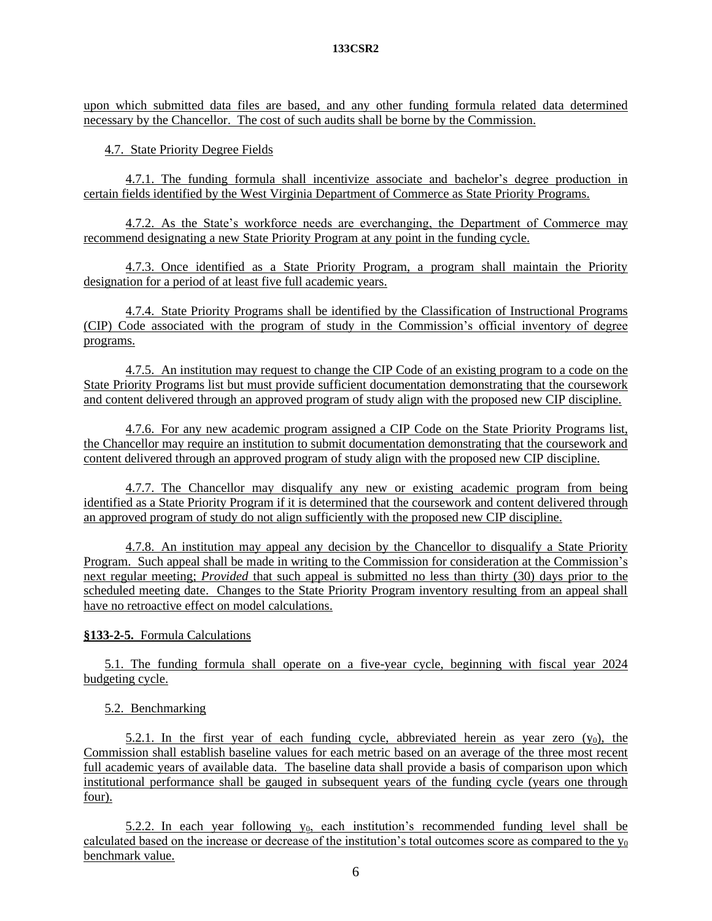upon which submitted data files are based, and any other funding formula related data determined necessary by the Chancellor. The cost of such audits shall be borne by the Commission.

4.7. State Priority Degree Fields

4.7.1. The funding formula shall incentivize associate and bachelor's degree production in certain fields identified by the West Virginia Department of Commerce as State Priority Programs.

4.7.2. As the State's workforce needs are everchanging, the Department of Commerce may recommend designating a new State Priority Program at any point in the funding cycle.

4.7.3. Once identified as a State Priority Program, a program shall maintain the Priority designation for a period of at least five full academic years.

4.7.4. State Priority Programs shall be identified by the Classification of Instructional Programs (CIP) Code associated with the program of study in the Commission's official inventory of degree programs.

4.7.5. An institution may request to change the CIP Code of an existing program to a code on the State Priority Programs list but must provide sufficient documentation demonstrating that the coursework and content delivered through an approved program of study align with the proposed new CIP discipline.

4.7.6. For any new academic program assigned a CIP Code on the State Priority Programs list, the Chancellor may require an institution to submit documentation demonstrating that the coursework and content delivered through an approved program of study align with the proposed new CIP discipline.

4.7.7. The Chancellor may disqualify any new or existing academic program from being identified as a State Priority Program if it is determined that the coursework and content delivered through an approved program of study do not align sufficiently with the proposed new CIP discipline.

4.7.8. An institution may appeal any decision by the Chancellor to disqualify a State Priority Program. Such appeal shall be made in writing to the Commission for consideration at the Commission's next regular meeting; *Provided* that such appeal is submitted no less than thirty (30) days prior to the scheduled meeting date. Changes to the State Priority Program inventory resulting from an appeal shall have no retroactive effect on model calculations.

# **§133-2-5.** Formula Calculations

5.1. The funding formula shall operate on a five-year cycle, beginning with fiscal year 2024 budgeting cycle.

5.2. Benchmarking

5.2.1. In the first year of each funding cycle, abbreviated herein as year zero  $(y_0)$ , the Commission shall establish baseline values for each metric based on an average of the three most recent full academic years of available data. The baseline data shall provide a basis of comparison upon which institutional performance shall be gauged in subsequent years of the funding cycle (years one through four).

5.2.2. In each year following  $y_0$ , each institution's recommended funding level shall be calculated based on the increase or decrease of the institution's total outcomes score as compared to the  $y_0$ benchmark value.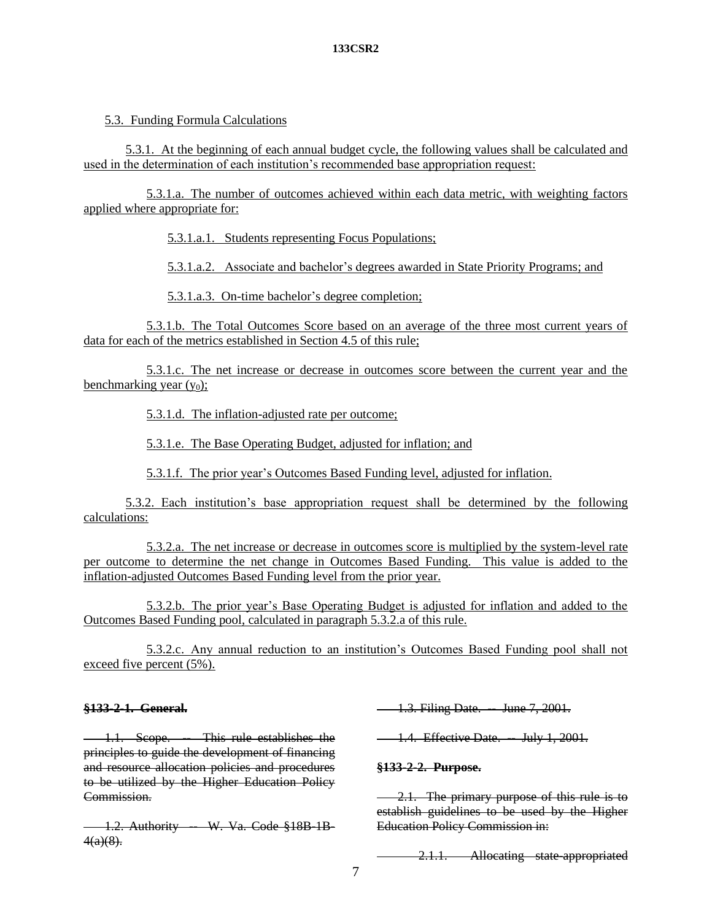# 5.3. Funding Formula Calculations

5.3.1. At the beginning of each annual budget cycle, the following values shall be calculated and used in the determination of each institution's recommended base appropriation request:

5.3.1.a. The number of outcomes achieved within each data metric, with weighting factors applied where appropriate for:

5.3.1.a.1. Students representing Focus Populations;

5.3.1.a.2. Associate and bachelor's degrees awarded in State Priority Programs; and

5.3.1.a.3. On-time bachelor's degree completion;

5.3.1.b. The Total Outcomes Score based on an average of the three most current years of data for each of the metrics established in Section 4.5 of this rule;

5.3.1.c. The net increase or decrease in outcomes score between the current year and the benchmarking year  $(y_0)$ ;

5.3.1.d. The inflation-adjusted rate per outcome;

5.3.1.e. The Base Operating Budget, adjusted for inflation; and

5.3.1.f. The prior year's Outcomes Based Funding level, adjusted for inflation.

5.3.2. Each institution's base appropriation request shall be determined by the following calculations:

5.3.2.a. The net increase or decrease in outcomes score is multiplied by the system-level rate per outcome to determine the net change in Outcomes Based Funding. This value is added to the inflation-adjusted Outcomes Based Funding level from the prior year.

5.3.2.b. The prior year's Base Operating Budget is adjusted for inflation and added to the Outcomes Based Funding pool, calculated in paragraph 5.3.2.a of this rule.

5.3.2.c. Any annual reduction to an institution's Outcomes Based Funding pool shall not exceed five percent (5%).

# **§133-2-1. General.**

1.1. Scope. - This rule establishes the principles to guide the development of financing and resource allocation policies and procedures to be utilized by the Higher Education Policy Commission.

1.2. Authority -- W. Va. Code §18B-1B- $4(a)(8)$ .

-1.3. Filing Date. - June 7, 2001.

**1.4. Effective Date. -- July 1, 2001.** 

# **§133-2-2. Purpose.**

2.1. The primary purpose of this rule is to establish guidelines to be used by the Higher Education Policy Commission in:

2.1.1. Allocating state-appropriated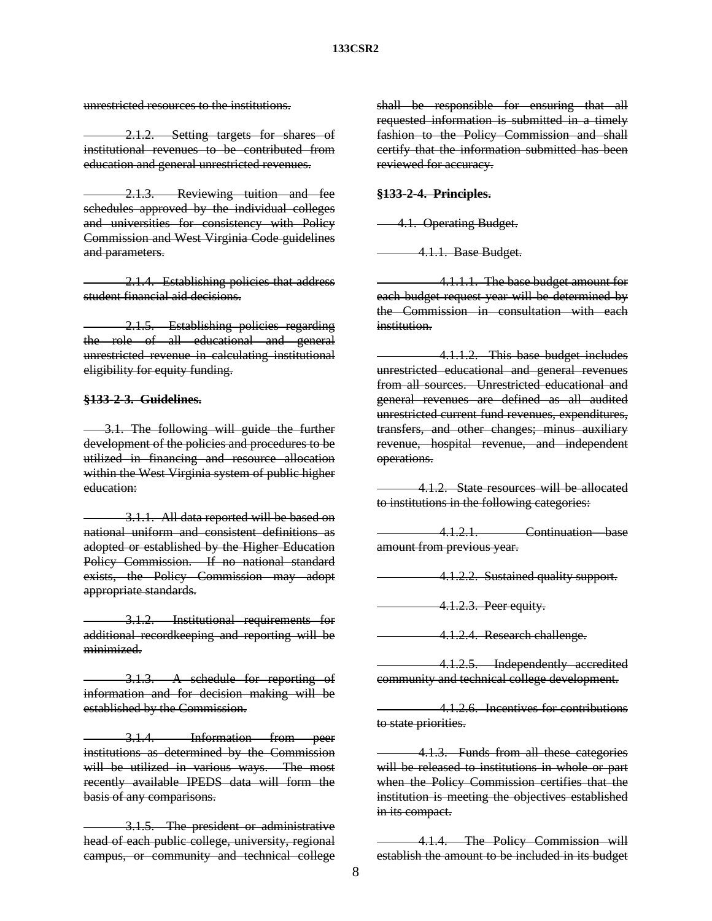unrestricted resources to the institutions.

2.1.2. Setting targets for shares of institutional revenues to be contributed from education and general unrestricted revenues.

2.1.3. Reviewing tuition and fee schedules approved by the individual colleges and universities for consistency with Policy Commission and West Virginia Code guidelines and parameters.

2.1.4. Establishing policies that address student financial aid decisions.

2.1.5. Establishing policies regarding the role of all educational and general unrestricted revenue in calculating institutional eligibility for equity funding.

## **§133-2-3. Guidelines.**

3.1. The following will guide the further development of the policies and procedures to be utilized in financing and resource allocation within the West Virginia system of public higher education:

3.1.1. All data reported will be based on national uniform and consistent definitions as adopted or established by the Higher Education Policy Commission. If no national standard exists, the Policy Commission may adopt appropriate standards.

3.1.2. Institutional requirements for additional recordkeeping and reporting will be minimized.

3.1.3. A schedule for reporting of information and for decision making will be established by the Commission.

3.1.4. Information from peer institutions as determined by the Commission will be utilized in various ways. The most recently available IPEDS data will form the basis of any comparisons.

3.1.5. The president or administrative head of each public college, university, regional campus, or community and technical college shall be responsible for ensuring that all requested information is submitted in a timely fashion to the Policy Commission and shall certify that the information submitted has been reviewed for accuracy.

#### **§133-2-4. Principles.**

4.1. Operating Budget.

4.1.1. Base Budget.

4.1.1.1. The base budget amount for each budget request year will be determined by the Commission in consultation with each institution.

4.1.1.2. This base budget includes unrestricted educational and general revenues from all sources. Unrestricted educational and general revenues are defined as all audited unrestricted current fund revenues, expenditures, transfers, and other changes; minus auxiliary revenue, hospital revenue, and independent operations.

4.1.2. State resources will be allocated to institutions in the following categories:

4.1.2.1. Continuation—base amount from previous year.

4.1.2.2. Sustained quality support.

4.1.2.3. Peer equity.

4.1.2.4. Research challenge.

4.1.2.5. Independently accredited community and technical college development.

4.1.2.6. Incentives for contributions to state priorities.

4.1.3. Funds from all these categories will be released to institutions in whole or part when the Policy Commission certifies that the institution is meeting the objectives established in its compact.

4.1.4. The Policy Commission will establish the amount to be included in its budget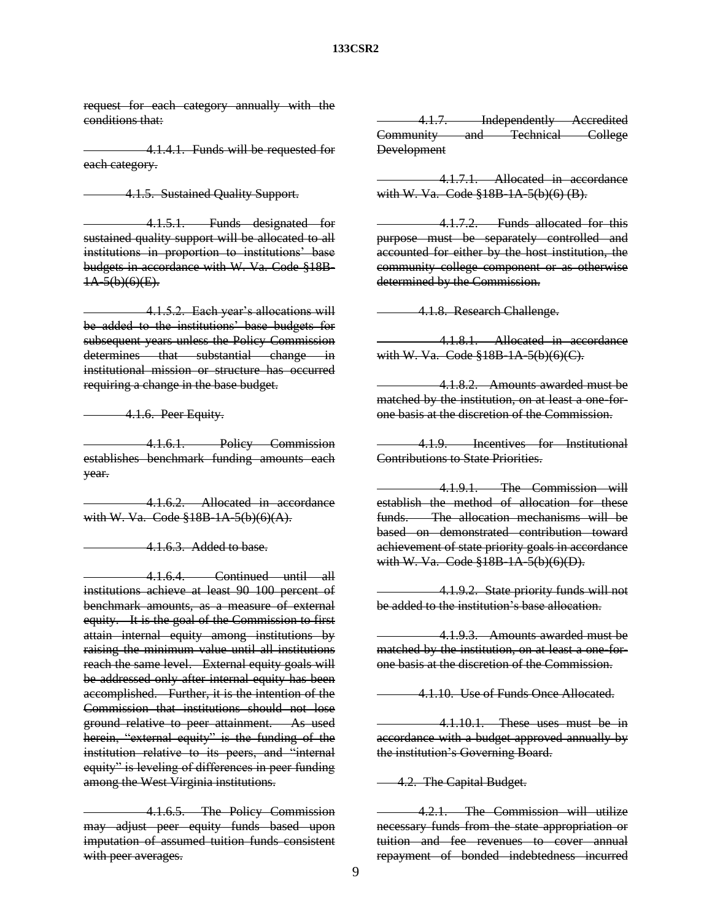request for each category annually with the conditions that:

4.1.4.1. Funds will be requested for each category.

4.1.5. Sustained Quality Support.

4.1.5.1. Funds designated for sustained quality support will be allocated to all institutions in proportion to institutions' base budgets in accordance with W. Va. Code §18B-1A-5(b)(6)(E).

4.1.5.2. Each year's allocations will be added to the institutions' base budgets for subsequent years unless the Policy Commission determines that substantial change in institutional mission or structure has occurred requiring a change in the base budget.

4.1.6. Peer Equity.

4.1.6.1. Policy Commission establishes benchmark funding amounts each year.

4.1.6.2. Allocated in accordance with W. Va. Code §18B-1A-5(b)(6)(A).

4.1.6.3. Added to base.

4.1.6.4. Continued until all institutions achieve at least 90 100 percent of benchmark amounts, as a measure of external equity. It is the goal of the Commission to first attain internal equity among institutions by raising the minimum value until all institutions reach the same level. External equity goals will be addressed only after internal equity has been accomplished. Further, it is the intention of the Commission that institutions should not lose ground relative to peer attainment. As used herein, "external equity" is the funding of the institution relative to its peers, and "internal equity" is leveling of differences in peer funding among the West Virginia institutions.

4.1.6.5. The Policy Commission may adjust peer equity funds based upon imputation of assumed tuition funds consistent with peer averages.

4.1.7. Independently Accredited Community and Technical College **Development** 

4.1.7.1. Allocated in accordance with W. Va. Code §18B-1A-5(b)(6) (B).

4.1.7.2. Funds allocated for this purpose must be separately controlled and accounted for either by the host institution, the community college component or as otherwise determined by the Commission.

4.1.8. Research Challenge.

4.1.8.1. Allocated in accordance with W. Va. Code §18B-1A-5(b)(6)(C).

4.1.8.2. Amounts awarded must be matched by the institution, on at least a one-forone basis at the discretion of the Commission.

4.1.9. Incentives for Institutional Contributions to State Priorities.

4.1.9.1. The Commission will establish the method of allocation for these funds. The allocation mechanisms will be based on demonstrated contribution toward achievement of state priority goals in accordance with W. Va. Code §18B-1A-5(b)(6)(D).

4.1.9.2. State priority funds will not be added to the institution's base allocation.

4.1.9.3. Amounts awarded must be matched by the institution, on at least a one-forone basis at the discretion of the Commission.

4.1.10. Use of Funds Once Allocated.

4.1.10.1. These uses must be in accordance with a budget approved annually by the institution's Governing Board.

4.2. The Capital Budget.

4.2.1. The Commission will utilize necessary funds from the state appropriation or tuition and fee revenues to cover annual repayment of bonded indebtedness incurred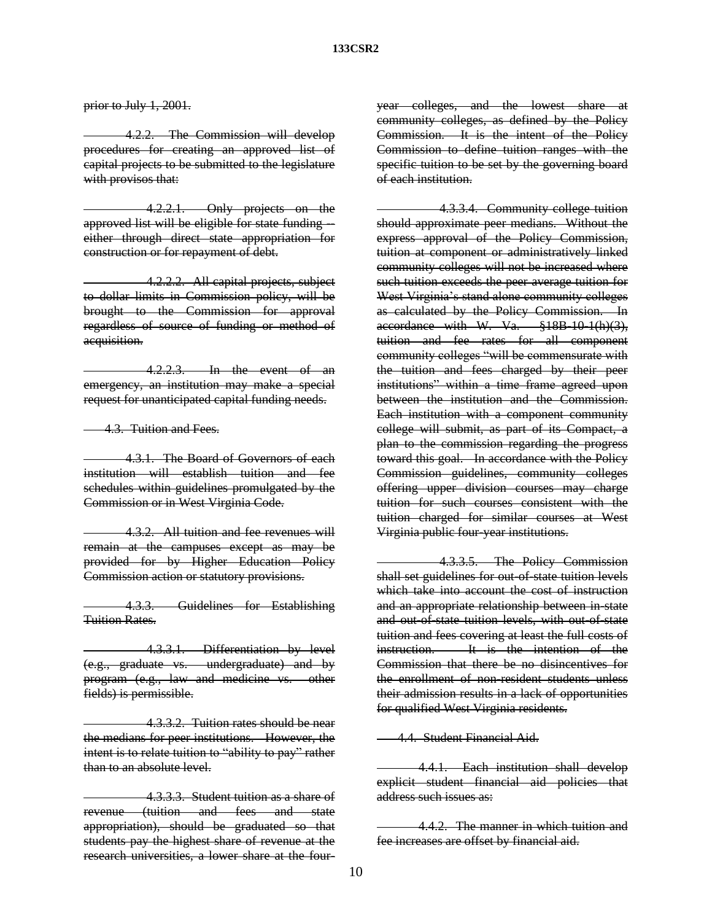prior to July 1, 2001.

4.2.2. The Commission will develop procedures for creating an approved list of capital projects to be submitted to the legislature with provisos that:

4.2.2.1. Only projects on the approved list will be eligible for state funding either through direct state appropriation for construction or for repayment of debt.

4.2.2.2. All capital projects, subject to dollar limits in Commission policy, will be brought to the Commission for approval regardless of source of funding or method of acquisition.

4.2.2.3. In the event of an emergency, an institution may make a special request for unanticipated capital funding needs.

4.3. Tuition and Fees.

4.3.1. The Board of Governors of each institution will establish tuition and fee schedules within guidelines promulgated by the Commission or in West Virginia Code.

4.3.2. All tuition and fee revenues will remain at the campuses except as may be provided for by Higher Education Policy Commission action or statutory provisions.

4.3.3. Guidelines for Establishing Tuition Rates.

4.3.3.1. Differentiation by level (e.g., graduate vs. undergraduate) and by program (e.g., law and medicine vs. other fields) is permissible.

4.3.3.2. Tuition rates should be near the medians for peer institutions. However, the intent is to relate tuition to "ability to pay" rather than to an absolute level.

4.3.3.3. Student tuition as a share of revenue (tuition and fees and state appropriation), should be graduated so that students pay the highest share of revenue at the research universities, a lower share at the fouryear colleges, and the lowest share at community colleges, as defined by the Policy Commission. It is the intent of the Policy Commission to define tuition ranges with the specific tuition to be set by the governing board of each institution.

4.3.3.4. Community college tuition should approximate peer medians. Without the express approval of the Policy Commission, tuition at component or administratively linked community colleges will not be increased where such tuition exceeds the peer average tuition for West Virginia's stand alone community colleges as calculated by the Policy Commission. In accordance with W. Va. §18B-10-1(h)(3), tuition and fee rates for all component community colleges "will be commensurate with the tuition and fees charged by their peer institutions" within a time frame agreed upon between the institution and the Commission. Each institution with a component community college will submit, as part of its Compact, a plan to the commission regarding the progress toward this goal. In accordance with the Policy Commission guidelines, community colleges offering upper division courses may charge tuition for such courses consistent with the tuition charged for similar courses at West Virginia public four-year institutions.

4.3.3.5. The Policy Commission shall set guidelines for out-of-state tuition levels which take into account the cost of instruction and an appropriate relationship between in-state and out-of-state tuition levels, with out-of-state tuition and fees covering at least the full costs of instruction. It is the intention of the Commission that there be no disincentives for the enrollment of non-resident students unless their admission results in a lack of opportunities for qualified West Virginia residents.

4.4. Student Financial Aid.

4.4.1. Each institution shall develop explicit student financial aid policies that address such issues as:

4.4.2. The manner in which tuition and fee increases are offset by financial aid.